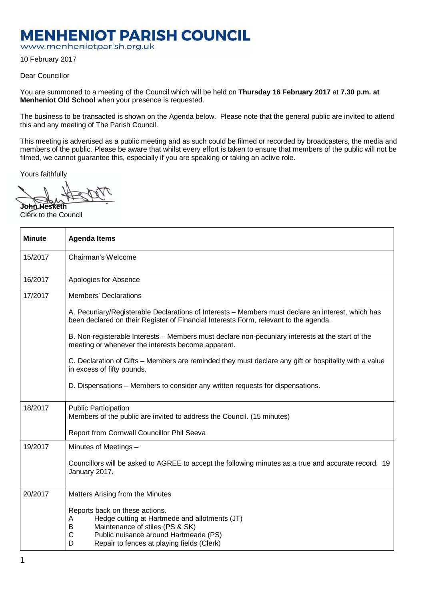## **MENHENIOT PARISH COUNCIL**

www.menheniotparish.org.uk

10 February 2017

Dear Councillor

You are summoned to a meeting of the Council which will be held on **Thursday 16 February 2017** at **7.30 p.m. at Menheniot Old School** when your presence is requested.

The business to be transacted is shown on the Agenda below. Please note that the general public are invited to attend this and any meeting of The Parish Council.

This meeting is advertised as a public meeting and as such could be filmed or recorded by broadcasters, the media and members of the public. Please be aware that whilst every effort is taken to ensure that members of the public will not be filmed, we cannot guarantee this, especially if you are speaking or taking an active role.

Yours faithfully

**John Hesketh**  Clerk to the Council

| <b>Minute</b> | <b>Agenda Items</b>                                                                                                                                                                                                                      |  |  |  |  |
|---------------|------------------------------------------------------------------------------------------------------------------------------------------------------------------------------------------------------------------------------------------|--|--|--|--|
| 15/2017       | Chairman's Welcome                                                                                                                                                                                                                       |  |  |  |  |
| 16/2017       | Apologies for Absence                                                                                                                                                                                                                    |  |  |  |  |
| 17/2017       | <b>Members' Declarations</b>                                                                                                                                                                                                             |  |  |  |  |
|               | A. Pecuniary/Registerable Declarations of Interests - Members must declare an interest, which has<br>been declared on their Register of Financial Interests Form, relevant to the agenda.                                                |  |  |  |  |
|               | B. Non-registerable Interests - Members must declare non-pecuniary interests at the start of the<br>meeting or whenever the interests become apparent.                                                                                   |  |  |  |  |
|               | C. Declaration of Gifts – Members are reminded they must declare any gift or hospitality with a value<br>in excess of fifty pounds.                                                                                                      |  |  |  |  |
|               | D. Dispensations – Members to consider any written requests for dispensations.                                                                                                                                                           |  |  |  |  |
| 18/2017       | <b>Public Participation</b><br>Members of the public are invited to address the Council. (15 minutes)                                                                                                                                    |  |  |  |  |
|               | Report from Cornwall Councillor Phil Seeva                                                                                                                                                                                               |  |  |  |  |
| 19/2017       | Minutes of Meetings -                                                                                                                                                                                                                    |  |  |  |  |
|               | Councillors will be asked to AGREE to accept the following minutes as a true and accurate record. 19<br>January 2017.                                                                                                                    |  |  |  |  |
| 20/2017       | Matters Arising from the Minutes                                                                                                                                                                                                         |  |  |  |  |
|               | Reports back on these actions.<br>Hedge cutting at Hartmede and allotments (JT)<br>A<br>Maintenance of stiles (PS & SK)<br>B<br>$\mathsf{C}$<br>Public nuisance around Hartmeade (PS)<br>D<br>Repair to fences at playing fields (Clerk) |  |  |  |  |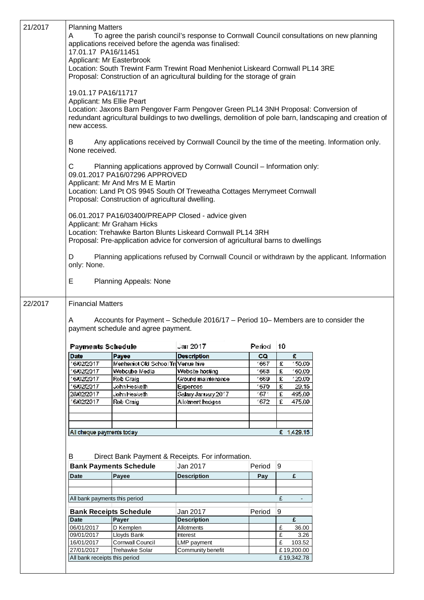| 21/2017 | <b>Planning Matters</b><br>To agree the parish council's response to Cornwall Council consultations on new planning<br>A<br>applications received before the agenda was finalised:<br>17.01.17 PA16/11451<br>Applicant: Mr Easterbrook<br>Location: South Trewint Farm Trewint Road Menheniot Liskeard Cornwall PL14 3RE<br>Proposal: Construction of an agricultural building for the storage of grain |                                     |                                                                                  |        |                    |                             |  |  |  |  |
|---------|---------------------------------------------------------------------------------------------------------------------------------------------------------------------------------------------------------------------------------------------------------------------------------------------------------------------------------------------------------------------------------------------------------|-------------------------------------|----------------------------------------------------------------------------------|--------|--------------------|-----------------------------|--|--|--|--|
|         | 19.01.17 PA16/11717<br>Applicant: Ms Ellie Peart<br>Location: Jaxons Barn Pengover Farm Pengover Green PL14 3NH Proposal: Conversion of<br>redundant agricultural buildings to two dwellings, demolition of pole barn, landscaping and creation of<br>new access.                                                                                                                                       |                                     |                                                                                  |        |                    |                             |  |  |  |  |
|         | Any applications received by Cornwall Council by the time of the meeting. Information only.<br>B<br>None received.                                                                                                                                                                                                                                                                                      |                                     |                                                                                  |        |                    |                             |  |  |  |  |
|         | C.<br>Planning applications approved by Cornwall Council - Information only:<br>09.01.2017 PA16/07296 APPROVED<br>Applicant: Mr And Mrs M E Martin<br>Location: Land Pt OS 9945 South Of Treweatha Cottages Merrymeet Cornwall<br>Proposal: Construction of agricultural dwelling.                                                                                                                      |                                     |                                                                                  |        |                    |                             |  |  |  |  |
|         | 06.01.2017 PA16/03400/PREAPP Closed - advice given<br>Applicant: Mr Graham Hicks<br>Location: Trehawke Barton Blunts Liskeard Cornwall PL14 3RH<br>Proposal: Pre-application advice for conversion of agricultural barns to dwellings                                                                                                                                                                   |                                     |                                                                                  |        |                    |                             |  |  |  |  |
|         | D<br>Planning applications refused by Cornwall Council or withdrawn by the applicant. Information<br>only: None.                                                                                                                                                                                                                                                                                        |                                     |                                                                                  |        |                    |                             |  |  |  |  |
|         | E.                                                                                                                                                                                                                                                                                                                                                                                                      | Planning Appeals: None              |                                                                                  |        |                    |                             |  |  |  |  |
| 22/2017 | <b>Financial Matters</b><br>A                                                                                                                                                                                                                                                                                                                                                                           | payment schedule and agree payment. | Accounts for Payment - Schedule 2016/17 - Period 10- Members are to consider the |        |                    |                             |  |  |  |  |
|         | <b>Payments Schedule</b>                                                                                                                                                                                                                                                                                                                                                                                |                                     | Jan 2017                                                                         | Period | 10                 |                             |  |  |  |  |
|         | <b>Date</b>                                                                                                                                                                                                                                                                                                                                                                                             | Payee                               | <b>Description</b>                                                               | CQ     |                    | £.                          |  |  |  |  |
|         | 16/02/2017                                                                                                                                                                                                                                                                                                                                                                                              | Menhaniot Old School Tri Venue hire |                                                                                  | 1667   | £                  | 150.00                      |  |  |  |  |
|         | 6/02/2017                                                                                                                                                                                                                                                                                                                                                                                               | Webcube Media                       | Website hosting                                                                  | 1668   | £                  | 160.00                      |  |  |  |  |
|         | 16/02/2017                                                                                                                                                                                                                                                                                                                                                                                              | Rob Craig                           | Ground maintenance                                                               | 1669   | £                  | 120.00                      |  |  |  |  |
|         | 16/02/2017                                                                                                                                                                                                                                                                                                                                                                                              | John Hesketh                        | Expenses                                                                         | 1670   | £                  | 29.15                       |  |  |  |  |
|         | 28/02/2017                                                                                                                                                                                                                                                                                                                                                                                              | John Heskethi                       | Salary January 2017                                                              | 1671   | $\hat{\mathbf{r}}$ | 495.00                      |  |  |  |  |
|         | 6/02/2017                                                                                                                                                                                                                                                                                                                                                                                               | Rob Craig                           | Allofment hedges.                                                                | 1672   | £                  | 475.00                      |  |  |  |  |
|         |                                                                                                                                                                                                                                                                                                                                                                                                         |                                     |                                                                                  |        |                    |                             |  |  |  |  |
|         |                                                                                                                                                                                                                                                                                                                                                                                                         |                                     |                                                                                  |        |                    |                             |  |  |  |  |
|         |                                                                                                                                                                                                                                                                                                                                                                                                         |                                     |                                                                                  |        |                    |                             |  |  |  |  |
|         | All cheque payments today                                                                                                                                                                                                                                                                                                                                                                               |                                     |                                                                                  |        |                    | £ 1,429.15                  |  |  |  |  |
|         | Direct Bank Payment & Receipts. For information.<br>B                                                                                                                                                                                                                                                                                                                                                   |                                     |                                                                                  |        |                    |                             |  |  |  |  |
|         |                                                                                                                                                                                                                                                                                                                                                                                                         | <b>Bank Payments Schedule</b>       | Jan 2017                                                                         | Period | 9                  |                             |  |  |  |  |
|         | <b>Date</b>                                                                                                                                                                                                                                                                                                                                                                                             | Payee                               | <b>Description</b>                                                               | Pay    |                    | £                           |  |  |  |  |
|         |                                                                                                                                                                                                                                                                                                                                                                                                         |                                     |                                                                                  |        |                    |                             |  |  |  |  |
|         |                                                                                                                                                                                                                                                                                                                                                                                                         |                                     |                                                                                  |        |                    |                             |  |  |  |  |
|         | All bank payments this period                                                                                                                                                                                                                                                                                                                                                                           |                                     |                                                                                  |        | £                  | $\mathcal{L}^{\mathcal{L}}$ |  |  |  |  |
|         |                                                                                                                                                                                                                                                                                                                                                                                                         |                                     |                                                                                  |        |                    |                             |  |  |  |  |
|         |                                                                                                                                                                                                                                                                                                                                                                                                         | <b>Bank Receipts Schedule</b>       | Jan 2017                                                                         | Period | 9                  |                             |  |  |  |  |
|         | <b>Date</b>                                                                                                                                                                                                                                                                                                                                                                                             | Payer                               | <b>Description</b>                                                               |        |                    | £                           |  |  |  |  |
|         | 06/01/2017                                                                                                                                                                                                                                                                                                                                                                                              | D Kemplen                           | Allotments                                                                       |        | £                  | 36.00                       |  |  |  |  |
|         | 09/01/2017                                                                                                                                                                                                                                                                                                                                                                                              | Lloyds Bank                         | Interest                                                                         |        | £                  | 3.26                        |  |  |  |  |
|         | 16/01/2017                                                                                                                                                                                                                                                                                                                                                                                              | Cornwall Council                    | LMP payment                                                                      |        | £                  | 103.52                      |  |  |  |  |
|         | 27/01/2017                                                                                                                                                                                                                                                                                                                                                                                              | <b>Trehawke Solar</b>               | Community benefit                                                                |        |                    | £19,200.00                  |  |  |  |  |
|         | All bank receipts this period                                                                                                                                                                                                                                                                                                                                                                           |                                     |                                                                                  |        |                    | £19,342.78                  |  |  |  |  |
|         |                                                                                                                                                                                                                                                                                                                                                                                                         |                                     |                                                                                  |        |                    |                             |  |  |  |  |